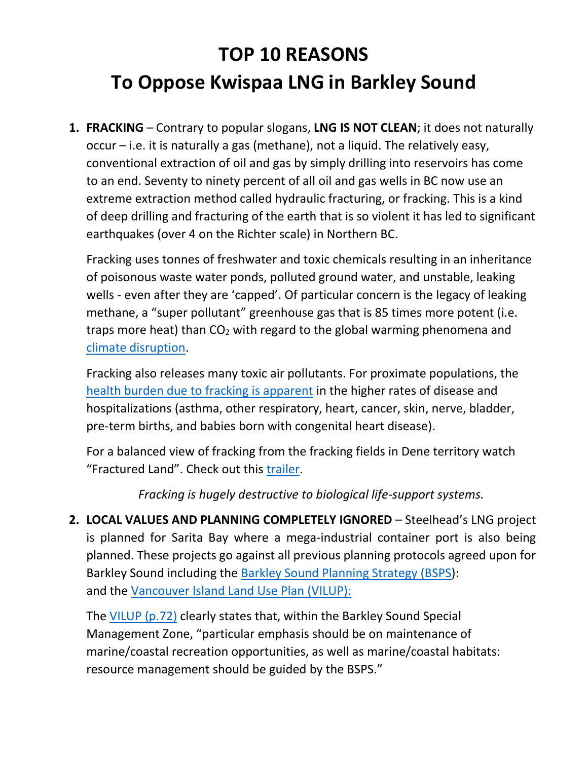## **TOP 10 REASONS To Oppose Kwispaa LNG in Barkley Sound**

**1. FRACKING** – Contrary to popular slogans, **LNG IS NOT CLEAN**; it does not naturally occur – i.e. it is naturally a gas (methane), not a liquid. The relatively easy, conventional extraction of oil and gas by simply drilling into reservoirs has come to an end. Seventy to ninety percent of all oil and gas wells in BC now use an extreme extraction method called hydraulic fracturing, or fracking. This is a kind of deep drilling and fracturing of the earth that is so violent it has led to significant earthquakes (over 4 on the Richter scale) in Northern BC.

Fracking uses tonnes of freshwater and toxic chemicals resulting in an inheritance of poisonous waste water ponds, polluted ground water, and unstable, leaking wells - even after they are 'capped'. Of particular concern is the legacy of leaking methane, a "super pollutant" greenhouse gas that is 85 times more potent (i.e. traps more heat) than  $CO<sub>2</sub>$  with regard to the global warming phenomena and [climate disruption.](https://www.newyorker.com/magazine/2018/11/26/how-extreme-weather-is-shrinking-the-planet)

Fracking also releases many toxic air pollutants. For proximate populations, the [health burden due to fracking is apparent](https://www.nationalobserver.com/2018/11/02/opinion/avoiding-f-word-how-natural-liquefied-natural-gas-lng) in the higher rates of disease and hospitalizations (asthma, other respiratory, heart, cancer, skin, nerve, bladder, pre-term births, and babies born with congenital heart disease).

For a balanced view of fracking from the fracking fields in Dene territory watch "Fractured Land". Check out this [trailer.](https://www.youtube.com/watch?v=fe591PtCfa0)

*Fracking is hugely destructive to biological life-support systems.*

**2. LOCAL VALUES AND PLANNING COMPLETELY IGNORED** – Steelhead's LNG project is planned for Sarita Bay where a mega-industrial container port is also being planned. These projects go against all previous planning protocols agreed upon for Barkley Sound including the [Barkley Sound Planning Strategy](https://www.for.gov.bc.ca/hfd/library/documents/bib24415.pdf) (BSPS): and the [Vancouver Island Land Use Plan](https://www2.gov.bc.ca/assets/gov/farming-natural-resources-and-industry/natural-resource-use/land-water-use/crown-land/land-use-plans-and-objectives/westcoast-region/vancouverisland-rlup/vancouver_island_slup.pdf) (VILUP):

The [VILUP \(p.72\)](https://www2.gov.bc.ca/assets/gov/farming-natural-resources-and-industry/natural-resource-use/land-water-use/crown-land/land-use-plans-and-objectives/westcoast-region/vancouverisland-rlup/vancouver_island_slup.pdf) clearly states that, within the Barkley Sound Special Management Zone, "particular emphasis should be on maintenance of marine/coastal recreation opportunities, as well as marine/coastal habitats: resource management should be guided by the BSPS."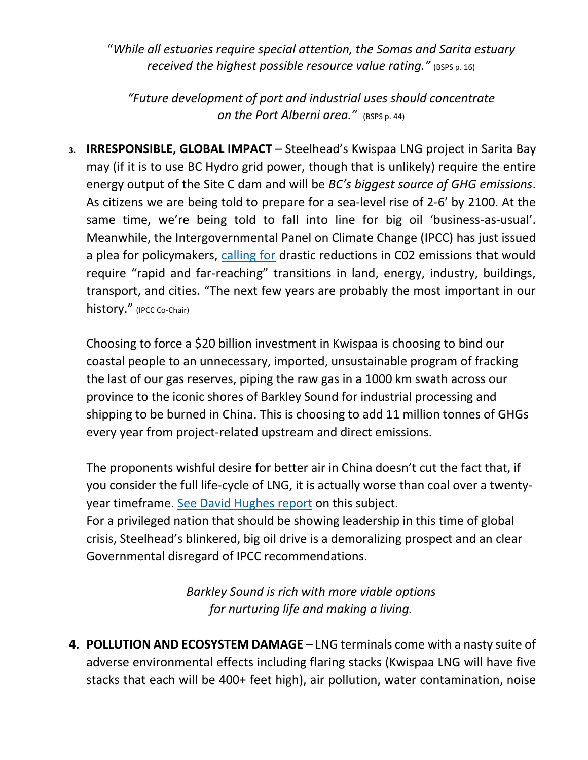"*While all estuaries require special attention, the Somas and Sarita estuary received* the *highest possible resource value rating.*<sup>*"*</sup> (BSPS p. 16)

*"Future development of port and industrial uses should concentrate on the Port Alberni area."* (BSPS p. 44)

**3. IRRESPONSIBLE, GLOBAL IMPACT** – Steelhead's Kwispaa LNG project in Sarita Bay may (if it is to use BC Hydro grid power, though that is unlikely) require the entire energy output of the Site C dam and will be *BC's biggest source of GHG emissions*. As citizens we are being told to prepare for a sea-level rise of 2-6' by 2100. At the same time, we're being told to fall into line for big oil 'business-as-usual'. Meanwhile, the Intergovernmental Panel on Climate Change (IPCC) has just issued a plea for policymakers, [calling for](http://www.ipcc.ch/report/sr15/) drastic reductions in C02 emissions that would require "rapid and far-reaching" transitions in land, energy, industry, buildings, transport, and cities. "The next few years are probably the most important in our history." (IPCC Co-Chair)

Choosing to force a \$20 billion investment in Kwispaa is choosing to bind our coastal people to an unnecessary, imported, unsustainable program of fracking the last of our gas reserves, piping the raw gas in a 1000 km swath across our province to the iconic shores of Barkley Sound for industrial processing and shipping to be burned in China. This is choosing to add 11 million tonnes of GHGs every year from project-related upstream and direct emissions.

The proponents wishful desire for better air in China doesn't cut the fact that, if you consider the full life-cycle of LNG, it is actually worse than coal over a twentyyear timeframe. [See David Hughes](http://www.squamishchief.com/news/local-news/is-lng-better-than-coal-in-china-1.2169579) report on this subject. For a privileged nation that should be showing leadership in this time of global crisis, Steelhead's blinkered, big oil drive is a demoralizing prospect and an clear Governmental disregard of IPCC recommendations.

> *Barkley Sound is rich with more viable options for nurturing life and making a living.*

**4. POLLUTION AND ECOSYSTEM DAMAGE** – LNG terminals come with a nasty suite of adverse environmental effects including flaring stacks (Kwispaa LNG will have five stacks that each will be 400+ feet high), air pollution, water contamination, noise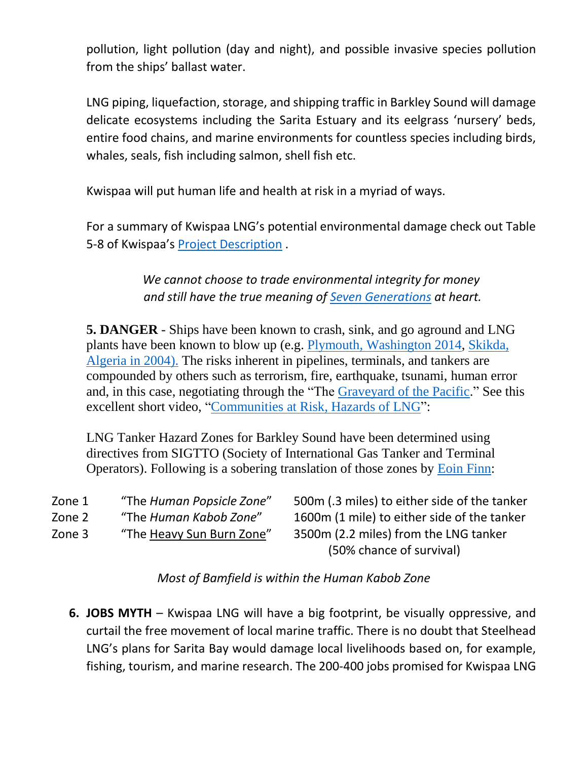pollution, light pollution (day and night), and possible invasive species pollution from the ships' ballast water.

LNG piping, liquefaction, storage, and shipping traffic in Barkley Sound will damage delicate ecosystems including the Sarita Estuary and its eelgrass 'nursery' beds, entire food chains, and marine environments for countless species including birds, whales, seals, fish including salmon, shell fish etc.

Kwispaa will put human life and health at risk in a myriad of ways.

For a summary of Kwispaa LNG's potential environmental damage check out Table 5-8 of Kwispaa's [Project Description](https://ceaa-acee.gc.ca/050/documents/p80160/125885E.pdf) .

> *We cannot choose to trade environmental integrity for money and still have the true meaning of [Seven Generations](https://www.mollylarkin.com/what-is-the-7th-generation-principle-and-why-do-you-need-to-know-about-it-3/) at heart.*

**5. DANGER** - Ships have been known to crash, sink, and go aground and LNG plants have been known to blow up (e.g. [Plymouth, Washington](https://www.sightline.org/2016/06/03/williams-companies-failed-to-protect-employees-in-plymouth-lng-explosion/) 2014, [Skikda,](https://www.nytimes.com/2004/02/12/business/algerian-explosion-stirs-foes-of-us-gas-projects.html)  [Algeria in 2004\).](https://www.nytimes.com/2004/02/12/business/algerian-explosion-stirs-foes-of-us-gas-projects.html) The risks inherent in pipelines, terminals, and tankers are compounded by others such as terrorism, fire, earthquake, tsunami, human error and, in this case, negotiating through the "The [Graveyard of the Pacific.](https://en.wikipedia.org/wiki/Graveyard_of_the_Pacific)" See this excellent short video, ["Communities at Risk, Hazards of LNG"](https://www.youtube.com/watch?v=uBAgvXPw1aI):

LNG Tanker Hazard Zones for Barkley Sound have been determined using directives from SIGTTO (Society of International Gas Tanker and Terminal Operators). Following is a sobering translation of those zones by [Eoin Finn:](https://www.youtube.com/watch?v=cdO6WIf9-hA)

| Zone 1 | "The Human Popsicle Zone" | 500m (.3 miles) to either side of the tanker |
|--------|---------------------------|----------------------------------------------|
| Zone 2 | "The Human Kabob Zone"    | 1600m (1 mile) to either side of the tanker  |
| Zone 3 | "The Heavy Sun Burn Zone" | 3500m (2.2 miles) from the LNG tanker        |
|        |                           | (50% chance of survival)                     |

*Most of Bamfield is within the Human Kabob Zone*

**6. JOBS MYTH** – Kwispaa LNG will have a big footprint, be visually oppressive, and curtail the free movement of local marine traffic. There is no doubt that Steelhead LNG's plans for Sarita Bay would damage local livelihoods based on, for example, fishing, tourism, and marine research. The 200-400 jobs promised for Kwispaa LNG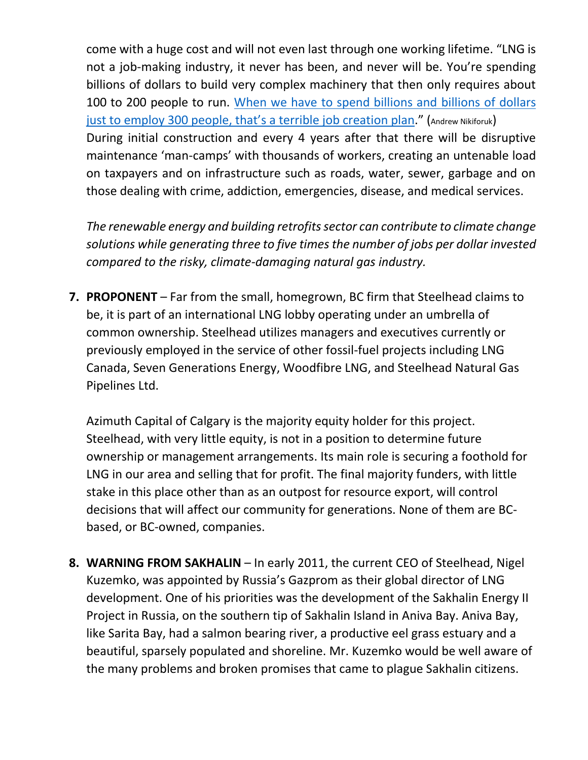come with a huge cost and will not even last through one working lifetime. "LNG is not a job-making industry, it never has been, and never will be. You're spending billions of dollars to build very complex machinery that then only requires about 100 to 200 people to run. [When we have to spend billions and](https://www.bclocalnews.com/news/nikiforuk-speaks-on-lng-fracking/) billions of dollars [just to employ 300 people, that's a terrible job creation plan.](https://www.bclocalnews.com/news/nikiforuk-speaks-on-lng-fracking/)" (Andrew Nikiforuk) During initial construction and every 4 years after that there will be disruptive maintenance 'man-camps' with thousands of workers, creating an untenable load on taxpayers and on infrastructure such as roads, water, sewer, garbage and on those dealing with crime, addiction, emergencies, disease, and medical services.

*The renewable energy and building retrofits sector can contribute to climate change solutions while generating three to five times the number of jobs per dollar invested compared to the risky, climate-damaging natural gas industry.*

**7. PROPONENT** – Far from the small, homegrown, BC firm that Steelhead claims to be, it is part of an international LNG lobby operating under an umbrella of common ownership. Steelhead utilizes managers and executives currently or previously employed in the service of other fossil-fuel projects including LNG Canada, Seven Generations Energy, Woodfibre LNG, and Steelhead Natural Gas Pipelines Ltd.

Azimuth Capital of Calgary is the majority equity holder for this project. Steelhead, with very little equity, is not in a position to determine future ownership or management arrangements. Its main role is securing a foothold for LNG in our area and selling that for profit. The final majority funders, with little stake in this place other than as an outpost for resource export, will control decisions that will affect our community for generations. None of them are BCbased, or BC-owned, companies.

**8. WARNING FROM SAKHALIN** – In early 2011, the current CEO of Steelhead, Nigel Kuzemko, was appointed by Russia's Gazprom as their global director of LNG development. One of his priorities was the development of the Sakhalin Energy II Project in Russia, on the southern tip of Sakhalin Island in Aniva Bay. Aniva Bay, like Sarita Bay, had a salmon bearing river, a productive eel grass estuary and a beautiful, sparsely populated and shoreline. Mr. Kuzemko would be well aware of the many problems and broken promises that came to plague Sakhalin citizens.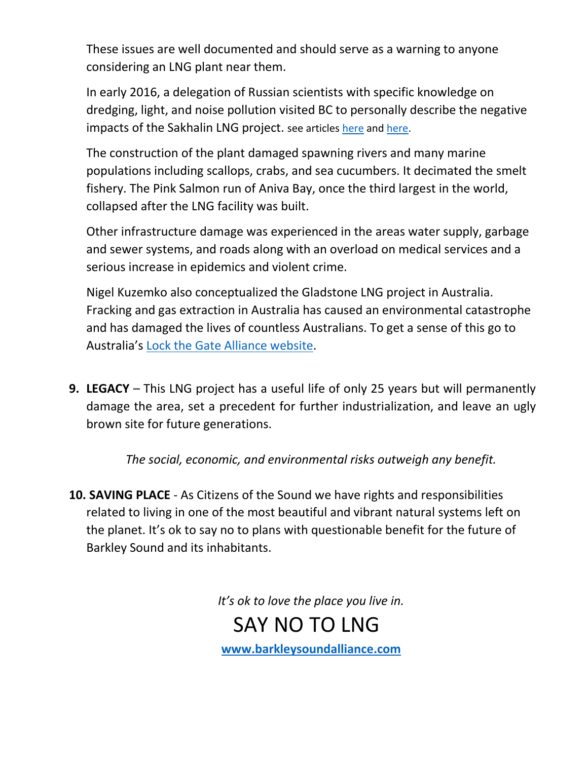These issues are well documented and should serve as a warning to anyone considering an LNG plant near them.

In early 2016, a delegation of Russian scientists with specific knowledge on dredging, light, and noise pollution visited BC to personally describe the negative impacts of the Sakhalin LNG project. see articles [here](https://www.squamishchief.com/news/local-news/russians-tell-cautionary-lng-tale-1.2183247) an[d here.](http://commonsensecanadian.ca/lng-plants-do-kill-salmon-russian-scientists-warn-bc/)

The construction of the plant damaged spawning rivers and many marine populations including scallops, crabs, and sea cucumbers. It decimated the smelt fishery. The Pink Salmon run of Aniva Bay, once the third largest in the world, collapsed after the LNG facility was built.

Other infrastructure damage was experienced in the areas water supply, garbage and sewer systems, and roads along with an overload on medical services and a serious increase in epidemics and violent crime.

Nigel Kuzemko also conceptualized the Gladstone LNG project in Australia. Fracking and gas extraction in Australia has caused an environmental catastrophe and has damaged the lives of countless Australians. To get a sense of this go to Australia's [Lock the Gate Alliance website.](http://www.lockthegate.org/)

**9. LEGACY** – This LNG project has a useful life of only 25 years but will permanently damage the area, set a precedent for further industrialization, and leave an ugly brown site for future generations.

*The social, economic, and environmental risks outweigh any benefit.*

**10. SAVING PLACE** - As Citizens of the Sound we have rights and responsibilities related to living in one of the most beautiful and vibrant natural systems left on the planet. It's ok to say no to plans with questionable benefit for the future of Barkley Sound and its inhabitants.

*It's ok to love the place you live in.*

 SAY NO TO LNG **[www.barkleysoundalliance.com](http://www.barkleysoundalliance.com/)**